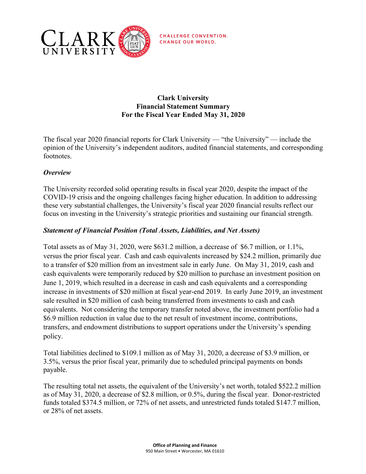

**CHALLENGE CONVENTION. CHANGE OUR WORLD.** 

# **Clark University Financial Statement Summary For the Fiscal Year Ended May 31, 2020**

The fiscal year 2020 financial reports for Clark University — "the University" — include the opinion of the University's independent auditors, audited financial statements, and corresponding footnotes.

# *Overview*

The University recorded solid operating results in fiscal year 2020, despite the impact of the COVID-19 crisis and the ongoing challenges facing higher education. In addition to addressing these very substantial challenges, the University's fiscal year 2020 financial results reflect our focus on investing in the University's strategic priorities and sustaining our financial strength.

# *Statement of Financial Position (Total Assets, Liabilities, and Net Assets)*

Total assets as of May 31, 2020, were \$631.2 million, a decrease of \$6.7 million, or 1.1%, versus the prior fiscal year. Cash and cash equivalents increased by \$24.2 million, primarily due to a transfer of \$20 million from an investment sale in early June. On May 31, 2019, cash and cash equivalents were temporarily reduced by \$20 million to purchase an investment position on June 1, 2019, which resulted in a decrease in cash and cash equivalents and a corresponding increase in investments of \$20 million at fiscal year-end 2019. In early June 2019, an investment sale resulted in \$20 million of cash being transferred from investments to cash and cash equivalents. Not considering the temporary transfer noted above, the investment portfolio had a \$6.9 million reduction in value due to the net result of investment income, contributions, transfers, and endowment distributions to support operations under the University's spending policy.

Total liabilities declined to \$109.1 million as of May 31, 2020, a decrease of \$3.9 million, or 3.5%, versus the prior fiscal year, primarily due to scheduled principal payments on bonds payable.

The resulting total net assets, the equivalent of the University's net worth, totaled \$522.2 million as of May 31, 2020, a decrease of \$2.8 million, or 0.5%, during the fiscal year. Donor-restricted funds totaled \$374.5 million, or 72% of net assets, and unrestricted funds totaled \$147.7 million, or 28% of net assets.